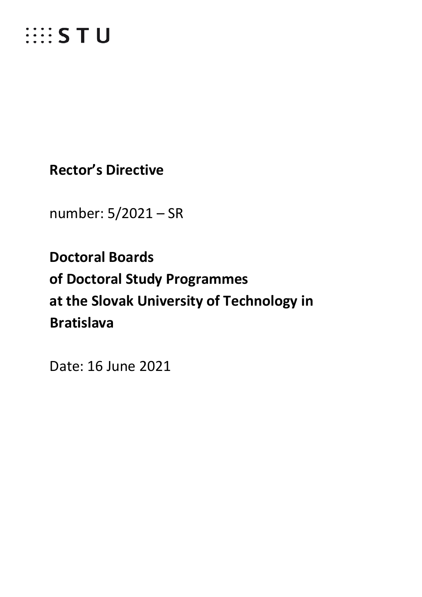

**Rector's Directive**

number: 5/2021 – SR

**Doctoral Boards of Doctoral Study Programmes at the Slovak University of Technology in Bratislava**

Date: 16 June 2021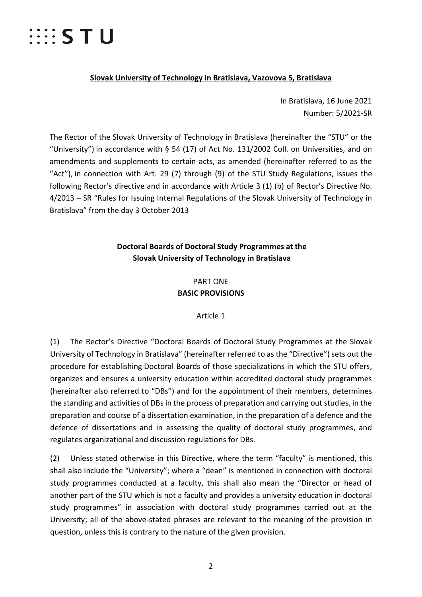# $\cdots$  STU

### **Slovak University of Technology in Bratislava, Vazovova 5, Bratislava**

In Bratislava, 16 June 2021 Number: 5/2021-SR

The Rector of the Slovak University of Technology in Bratislava (hereinafter the "STU" or the "University") in accordance with § 54 (17) of Act No. 131/2002 Coll. on Universities, and on amendments and supplements to certain acts, as amended (hereinafter referred to as the "Act"), in connection with Art. 29 (7) through (9) of the STU Study Regulations, issues the following Rector's directive and in accordance with Article 3 (1) (b) of Rector's Directive No. 4/2013 – SR "Rules for Issuing Internal Regulations of the Slovak University of Technology in Bratislava" from the day 3 October 2013

# **Doctoral Boards of Doctoral Study Programmes at the Slovak University of Technology in Bratislava**

# PART ONE **BASIC PROVISIONS**

## Article 1

(1) The Rector's Directive "Doctoral Boards of Doctoral Study Programmes at the Slovak University of Technology in Bratislava" (hereinafter referred to as the "Directive") sets out the procedure for establishing Doctoral Boards of those specializations in which the STU offers, organizes and ensures a university education within accredited doctoral study programmes (hereinafter also referred to "DBs") and for the appointment of their members, determines the standing and activities of DBs in the process of preparation and carrying out studies, in the preparation and course of a dissertation examination, in the preparation of a defence and the defence of dissertations and in assessing the quality of doctoral study programmes, and regulates organizational and discussion regulations for DBs.

(2) Unless stated otherwise in this Directive, where the term "faculty" is mentioned, this shall also include the "University"; where a "dean" is mentioned in connection with doctoral study programmes conducted at a faculty, this shall also mean the "Director or head of another part of the STU which is not a faculty and provides a university education in doctoral study programmes" in association with doctoral study programmes carried out at the University; all of the above-stated phrases are relevant to the meaning of the provision in question, unless this is contrary to the nature of the given provision.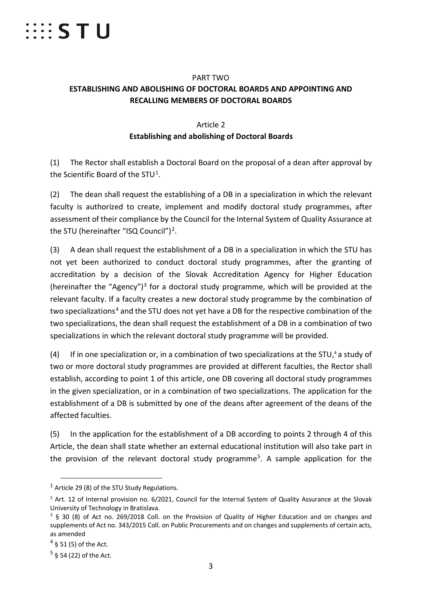

## PART TWO **ESTABLISHING AND ABOLISHING OF DOCTORAL BOARDS AND APPOINTING AND RECALLING MEMBERS OF DOCTORAL BOARDS**

# Article 2 **Establishing and abolishing of Doctoral Boards**

(1) The Rector shall establish a Doctoral Board on the proposal of a dean after approval by the Scientific Board of the STU<sup>[1](#page-2-0)</sup>.

(2) The dean shall request the establishing of a DB in a specialization in which the relevant faculty is authorized to create, implement and modify doctoral study programmes, after assessment of their compliance by the Council for the Internal System of Quality Assurance at the STU (hereinafter "ISQ Council")<sup>[2](#page-2-1)</sup>.

(3) A dean shall request the establishment of a DB in a specialization in which the STU has not yet been authorized to conduct doctoral study programmes, after the granting of accreditation by a decision of the Slovak Accreditation Agency for Higher Education (hereinafter the "Agency")<sup>[3](#page-2-2)</sup> for a doctoral study programme, which will be provided at the relevant faculty. If a faculty creates a new doctoral study programme by the combination of two specializations<sup>[4](#page-2-3)</sup> and the STU does not yet have a DB for the respective combination of the two specializations, the dean shall request the establishment of a DB in a combination of two specializations in which the relevant doctoral study programme will be provided.

(4) If in one specialization or, in a combination of two specializations at the STU, <sup>4</sup> a study of two or more doctoral study programmes are provided at different faculties, the Rector shall establish, according to point 1 of this article, one DB covering all doctoral study programmes in the given specialization, or in a combination of two specializations. The application for the establishment of a DB is submitted by one of the deans after agreement of the deans of the affected faculties.

(5) In the application for the establishment of a DB according to points 2 through 4 of this Article, the dean shall state whether an external educational institution will also take part in the provision of the relevant doctoral study programme<sup>[5](#page-2-4)</sup>. A sample application for the

<span id="page-2-0"></span> $1$  Article 29 (8) of the STU Study Regulations.

<span id="page-2-1"></span><sup>&</sup>lt;sup>2</sup> Art. 12 of Internal provision no. 6/2021, Council for the Internal System of Quality Assurance at the Slovak University of Technology in Bratislava.

<span id="page-2-2"></span><sup>3</sup> § 30 (8) of Act no. 269/2018 Coll. on the Provision of Quality of Higher Education and on changes and supplements of Act no. 343/2015 Coll. on Public Procurements and on changes and supplements of certain acts, as amended

<span id="page-2-3"></span> $4 \S 51 (5)$  of the Act.

<span id="page-2-4"></span> $5$  § 54 (22) of the Act.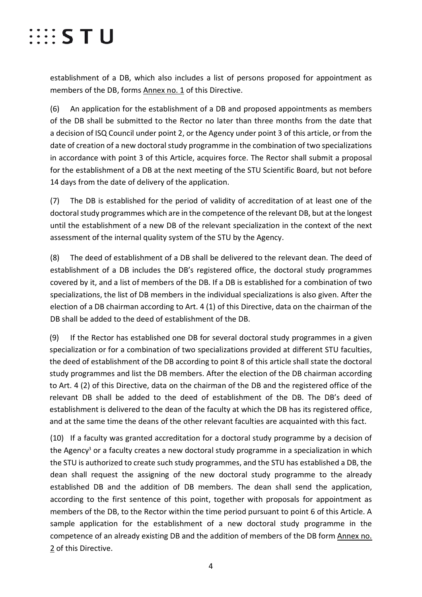# $\cdots$  STU

establishment of a DB, which also includes a list of persons proposed for appointment as members of the DB, forms Annex no. 1 of this Directive.

(6) An application for the establishment of a DB and proposed appointments as members of the DB shall be submitted to the Rector no later than three months from the date that a decision of ISQ Council under point 2, or the Agency under point 3 of this article, or from the date of creation of a new doctoral study programme in the combination of two specializations in accordance with point 3 of this Article, acquires force. The Rector shall submit a proposal for the establishment of a DB at the next meeting of the STU Scientific Board, but not before 14 days from the date of delivery of the application.

(7) The DB is established for the period of validity of accreditation of at least one of the doctoral study programmes which are in the competence of the relevant DB, but at the longest until the establishment of a new DB of the relevant specialization in the context of the next assessment of the internal quality system of the STU by the Agency.

(8) The deed of establishment of a DB shall be delivered to the relevant dean. The deed of establishment of a DB includes the DB's registered office, the doctoral study programmes covered by it, and a list of members of the DB. If a DB is established for a combination of two specializations, the list of DB members in the individual specializations is also given. After the election of a DB chairman according to Art. 4 (1) of this Directive, data on the chairman of the DB shall be added to the deed of establishment of the DB.

(9) If the Rector has established one DB for several doctoral study programmes in a given specialization or for a combination of two specializations provided at different STU faculties, the deed of establishment of the DB according to point 8 of this article shall state the doctoral study programmes and list the DB members. After the election of the DB chairman according to Art. 4 (2) of this Directive, data on the chairman of the DB and the registered office of the relevant DB shall be added to the deed of establishment of the DB. The DB's deed of establishment is delivered to the dean of the faculty at which the DB has its registered office, and at the same time the deans of the other relevant faculties are acquainted with this fact.

(10) If a faculty was granted accreditation for a doctoral study programme by a decision of the Agency<sup>3</sup> or a faculty creates a new doctoral study programme in a specialization in which the STU is authorized to create such study programmes, and the STU has established a DB, the dean shall request the assigning of the new doctoral study programme to the already established DB and the addition of DB members. The dean shall send the application, according to the first sentence of this point, together with proposals for appointment as members of the DB, to the Rector within the time period pursuant to point 6 of this Article. A sample application for the establishment of a new doctoral study programme in the competence of an already existing DB and the addition of members of the DB form Annex no. 2 of this Directive.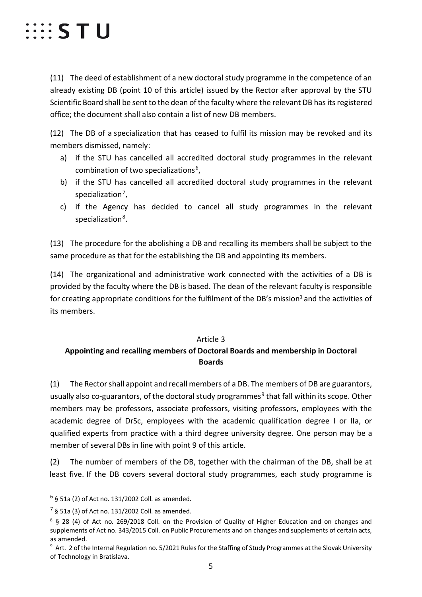

(11) The deed of establishment of a new doctoral study programme in the competence of an already existing DB (point 10 of this article) issued by the Rector after approval by the STU Scientific Board shall be sent to the dean of the faculty where the relevant DB has its registered office; the document shall also contain a list of new DB members.

(12) The DB of a specialization that has ceased to fulfil its mission may be revoked and its members dismissed, namely:

- a) if the STU has cancelled all accredited doctoral study programmes in the relevant combination of two specializations<sup>[6](#page-4-0)</sup>,
- b) if the STU has cancelled all accredited doctoral study programmes in the relevant specialization<sup>7</sup>,
- c) if the Agency has decided to cancel all study programmes in the relevant specialization<sup>8</sup>.

(13) The procedure for the abolishing a DB and recalling its members shall be subject to the same procedure as that for the establishing the DB and appointing its members.

(14) The organizational and administrative work connected with the activities of a DB is provided by the faculty where the DB is based. The dean of the relevant faculty is responsible for creating appropriate conditions for the fulfilment of the DB's mission<sup>1</sup> and the activities of its members.

### Article 3

# **Appointing and recalling members of Doctoral Boards and membership in Doctoral Boards**

(1) The Rector shall appoint and recall members of a DB. The members of DB are guarantors, usually also co-guarantors, of the doctoral study programmes<sup>[9](#page-4-3)</sup> that fall within its scope. Other members may be professors, associate professors, visiting professors, employees with the academic degree of DrSc, employees with the academic qualification degree I or IIa, or qualified experts from practice with a third degree university degree. One person may be a member of several DBs in line with point 9 of this article.

(2) The number of members of the DB, together with the chairman of the DB, shall be at least five. If the DB covers several doctoral study programmes, each study programme is

<span id="page-4-0"></span> $6$  § 51a (2) of Act no. 131/2002 Coll. as amended.

<span id="page-4-1"></span> $<sup>7</sup>$  § 51a (3) of Act no. 131/2002 Coll. as amended.</sup>

<span id="page-4-2"></span><sup>8</sup> § 28 (4) of Act no. 269/2018 Coll. on the Provision of Quality of Higher Education and on changes and supplements of Act no. 343/2015 Coll. on Public Procurements and on changes and supplements of certain acts, as amended.

<span id="page-4-3"></span><sup>&</sup>lt;sup>9</sup> Art. 2 of the Internal Regulation no. 5/2021 Rules for the Staffing of Study Programmes at the Slovak University of Technology in Bratislava.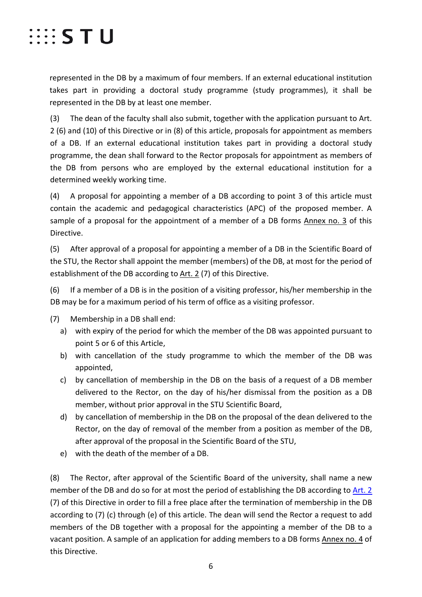

represented in the DB by a maximum of four members. If an external educational institution takes part in providing a doctoral study programme (study programmes), it shall be represented in the DB by at least one member.

(3) The dean of the faculty shall also submit, together with the application pursuant to Art. 2 (6) and (10) of this Directive or in (8) of this article, proposals for appointment as members of a DB. If an external educational institution takes part in providing a doctoral study programme, the dean shall forward to the Rector proposals for appointment as members of the DB from persons who are employed by the external educational institution for a determined weekly working time.

(4) A proposal for appointing a member of a DB according to point 3 of this article must contain the academic and pedagogical characteristics (APC) of the proposed member. A sample of a proposal for the appointment of a member of a DB forms Annex no. 3 of this Directive.

(5) After approval of a proposal for appointing a member of a DB in the Scientific Board of the STU, the Rector shall appoint the member (members) of the DB, at most for the period of establishment of the DB according to Art. 2 (7) of this Directive.

(6) If a member of a DB is in the position of a visiting professor, his/her membership in the DB may be for a maximum period of his term of office as a visiting professor.

- (7) Membership in a DB shall end:
	- a) with expiry of the period for which the member of the DB was appointed pursuant to point 5 or 6 of this Article,
	- b) with cancellation of the study programme to which the member of the DB was appointed,
	- c) by cancellation of membership in the DB on the basis of a request of a DB member delivered to the Rector, on the day of his/her dismissal from the position as a DB member, without prior approval in the STU Scientific Board,
	- d) by cancellation of membership in the DB on the proposal of the dean delivered to the Rector, on the day of removal of the member from a position as member of the DB, after approval of the proposal in the Scientific Board of the STU,
	- e) with the death of the member of a DB.

(8) The Rector, after approval of the Scientific Board of the university, shall name a new member of the DB and do so for at most the period of establishing the DB according to Art. 2 (7) of this Directive in order to fill a free place after the termination of membership in the DB according to (7) (c) through (e) of this article. The dean will send the Rector a request to add members of the DB together with a proposal for the appointing a member of the DB to a vacant position. A sample of an application for adding members to a DB forms Annex no. 4 of this Directive.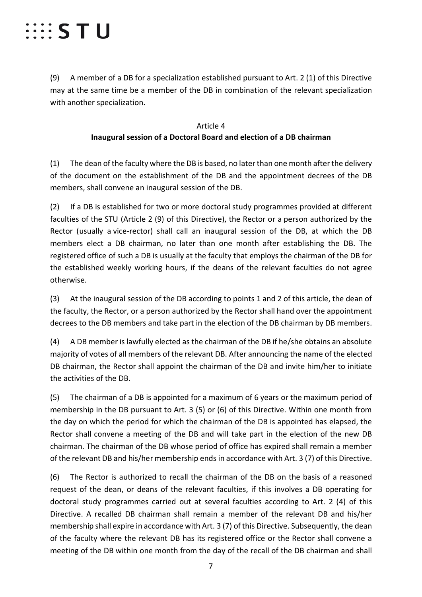# $\cdots$  S T U

(9) A member of a DB for a specialization established pursuant to Art. 2 (1) of this Directive may at the same time be a member of the DB in combination of the relevant specialization with another specialization.

## Article 4 **Inaugural session of a Doctoral Board and election of a DB chairman**

(1) The dean of the faculty where the DB is based, no later than one month after the delivery of the document on the establishment of the DB and the appointment decrees of the DB members, shall convene an inaugural session of the DB.

(2) If a DB is established for two or more doctoral study programmes provided at different faculties of the STU (Article 2 (9) of this Directive), the Rector or a person authorized by the Rector (usually a vice-rector) shall call an inaugural session of the DB, at which the DB members elect a DB chairman, no later than one month after establishing the DB. The registered office of such a DB is usually at the faculty that employs the chairman of the DB for the established weekly working hours, if the deans of the relevant faculties do not agree otherwise.

(3) At the inaugural session of the DB according to points 1 and 2 of this article, the dean of the faculty, the Rector, or a person authorized by the Rector shall hand over the appointment decrees to the DB members and take part in the election of the DB chairman by DB members.

(4) A DB member is lawfully elected as the chairman of the DB if he/she obtains an absolute majority of votes of all members of the relevant DB. After announcing the name of the elected DB chairman, the Rector shall appoint the chairman of the DB and invite him/her to initiate the activities of the DB.

(5) The chairman of a DB is appointed for a maximum of 6 years or the maximum period of membership in the DB pursuant to Art. 3 (5) or (6) of this Directive. Within one month from the day on which the period for which the chairman of the DB is appointed has elapsed, the Rector shall convene a meeting of the DB and will take part in the election of the new DB chairman. The chairman of the DB whose period of office has expired shall remain a member of the relevant DB and his/her membership ends in accordance with Art. 3 (7) of this Directive.

(6) The Rector is authorized to recall the chairman of the DB on the basis of a reasoned request of the dean, or deans of the relevant faculties, if this involves a DB operating for doctoral study programmes carried out at several faculties according to Art. 2 (4) of this Directive. A recalled DB chairman shall remain a member of the relevant DB and his/her membership shall expire in accordance with Art. 3 (7) of this Directive. Subsequently, the dean of the faculty where the relevant DB has its registered office or the Rector shall convene a meeting of the DB within one month from the day of the recall of the DB chairman and shall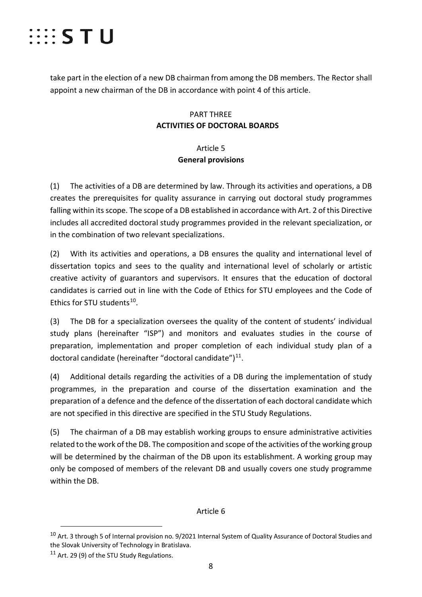

take part in the election of a new DB chairman from among the DB members. The Rector shall appoint a new chairman of the DB in accordance with point 4 of this article.

# PART THREE **ACTIVITIES OF DOCTORAL BOARDS**

# Article 5 **General provisions**

(1) The activities of a DB are determined by law. Through its activities and operations, a DB creates the prerequisites for quality assurance in carrying out doctoral study programmes falling within its scope. The scope of a DB established in accordance with Art. 2 of this Directive includes all accredited doctoral study programmes provided in the relevant specialization, or in the combination of two relevant specializations.

(2) With its activities and operations, a DB ensures the quality and international level of dissertation topics and sees to the quality and international level of scholarly or artistic creative activity of guarantors and supervisors. It ensures that the education of doctoral candidates is carried out in line with the Code of Ethics for STU employees and the Code of Ethics for STU students<sup>10</sup>.

(3) The DB for a specialization oversees the quality of the content of students' individual study plans (hereinafter "ISP") and monitors and evaluates studies in the course of preparation, implementation and proper completion of each individual study plan of a doctoral candidate (hereinafter "doctoral candidate") $^{11}$ .

(4) Additional details regarding the activities of a DB during the implementation of study programmes, in the preparation and course of the dissertation examination and the preparation of a defence and the defence of the dissertation of each doctoral candidate which are not specified in this directive are specified in the STU Study Regulations.

(5) The chairman of a DB may establish working groups to ensure administrative activities related to the work of the DB. The composition and scope of the activities of the working group will be determined by the chairman of the DB upon its establishment. A working group may only be composed of members of the relevant DB and usually covers one study programme within the DB.

## Article 6

<span id="page-7-0"></span><sup>&</sup>lt;sup>10</sup> Art. 3 through 5 of Internal provision no. 9/2021 Internal System of Quality Assurance of Doctoral Studies and the Slovak University of Technology in Bratislava.

<span id="page-7-1"></span> $11$  Art. 29 (9) of the STU Study Regulations.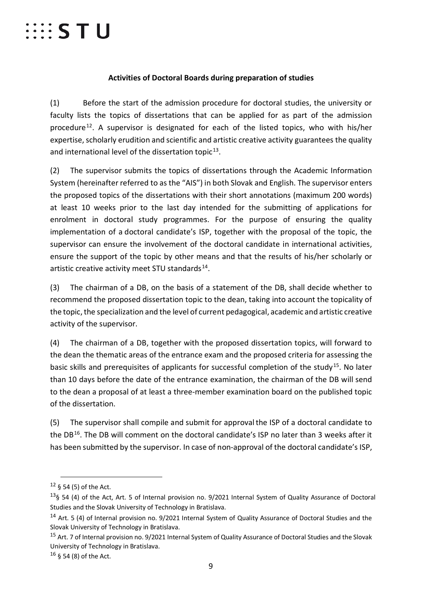# $\cdots$  S T U

## **Activities of Doctoral Boards during preparation of studies**

(1) Before the start of the admission procedure for doctoral studies, the university or faculty lists the topics of dissertations that can be applied for as part of the admission procedure<sup>[12](#page-8-0)</sup>. A supervisor is designated for each of the listed topics, who with his/her expertise, scholarly erudition and scientific and artistic creative activity guarantees the quality and international level of the dissertation topic $^{13}$ .

(2) The supervisor submits the topics of dissertations through the Academic Information System (hereinafter referred to as the "AIS") in both Slovak and English. The supervisor enters the proposed topics of the dissertations with their short annotations (maximum 200 words) at least 10 weeks prior to the last day intended for the submitting of applications for enrolment in doctoral study programmes. For the purpose of ensuring the quality implementation of a doctoral candidate's ISP, together with the proposal of the topic, the supervisor can ensure the involvement of the doctoral candidate in international activities, ensure the support of the topic by other means and that the results of his/her scholarly or artistic creative activity meet STU standards $^{14}$  $^{14}$  $^{14}$ .

(3) The chairman of a DB, on the basis of a statement of the DB, shall decide whether to recommend the proposed dissertation topic to the dean, taking into account the topicality of the topic, the specialization and the level of current pedagogical, academic and artistic creative activity of the supervisor.

(4) The chairman of a DB, together with the proposed dissertation topics, will forward to the dean the thematic areas of the entrance exam and the proposed criteria for assessing the basic skills and prerequisites of applicants for successful completion of the study<sup>15</sup>. No later than 10 days before the date of the entrance examination, the chairman of the DB will send to the dean a proposal of at least a three-member examination board on the published topic of the dissertation.

(5) The supervisor shall compile and submit for approvalthe ISP of a doctoral candidate to the DB<sup>16</sup>. The DB will comment on the doctoral candidate's ISP no later than 3 weeks after it has been submitted by the supervisor. In case of non-approval of the doctoral candidate's ISP,

<span id="page-8-0"></span> $12 \S 54 (5)$  of the Act.

<span id="page-8-1"></span><sup>13§ 54 (4)</sup> of the Act, Art. 5 of Internal provision no. 9/2021 Internal System of Quality Assurance of Doctoral Studies and the Slovak University of Technology in Bratislava.

<span id="page-8-2"></span><sup>14</sup> Art. 5 (4) of Internal provision no. 9/2021 Internal System of Quality Assurance of Doctoral Studies and the Slovak University of Technology in Bratislava.

<span id="page-8-3"></span><sup>&</sup>lt;sup>15</sup> Art. 7 of Internal provision no. 9/2021 Internal System of Quality Assurance of Doctoral Studies and the Slovak University of Technology in Bratislava.

<span id="page-8-4"></span> $16 \S 54 (8)$  of the Act.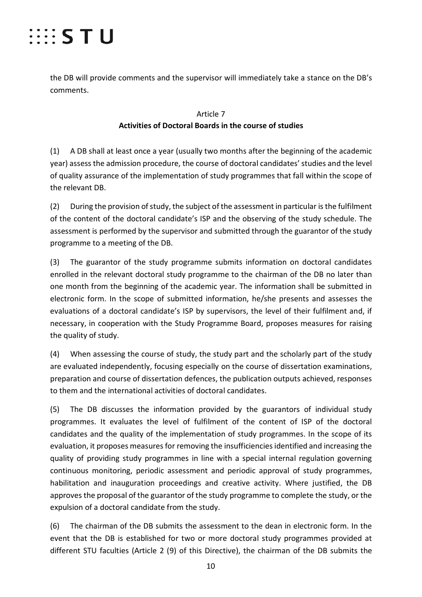

the DB will provide comments and the supervisor will immediately take a stance on the DB's comments.

## Article 7 **Activities of Doctoral Boards in the course of studies**

(1) A DB shall at least once a year (usually two months after the beginning of the academic year) assess the admission procedure, the course of doctoral candidates' studies and the level of quality assurance of the implementation of study programmes that fall within the scope of the relevant DB.

(2) During the provision of study, the subject of the assessment in particular isthe fulfilment of the content of the doctoral candidate's ISP and the observing of the study schedule. The assessment is performed by the supervisor and submitted through the guarantor of the study programme to a meeting of the DB.

(3) The guarantor of the study programme submits information on doctoral candidates enrolled in the relevant doctoral study programme to the chairman of the DB no later than one month from the beginning of the academic year. The information shall be submitted in electronic form. In the scope of submitted information, he/she presents and assesses the evaluations of a doctoral candidate's ISP by supervisors, the level of their fulfilment and, if necessary, in cooperation with the Study Programme Board, proposes measures for raising the quality of study.

(4) When assessing the course of study, the study part and the scholarly part of the study are evaluated independently, focusing especially on the course of dissertation examinations, preparation and course of dissertation defences, the publication outputs achieved, responses to them and the international activities of doctoral candidates.

(5) The DB discusses the information provided by the guarantors of individual study programmes. It evaluates the level of fulfilment of the content of ISP of the doctoral candidates and the quality of the implementation of study programmes. In the scope of its evaluation, it proposes measures for removing the insufficienciesidentified and increasing the quality of providing study programmes in line with a special internal regulation governing continuous monitoring, periodic assessment and periodic approval of study programmes, habilitation and inauguration proceedings and creative activity. Where justified, the DB approves the proposal of the guarantor of the study programme to complete the study, or the expulsion of a doctoral candidate from the study.

(6) The chairman of the DB submits the assessment to the dean in electronic form. In the event that the DB is established for two or more doctoral study programmes provided at different STU faculties (Article 2 (9) of this Directive), the chairman of the DB submits the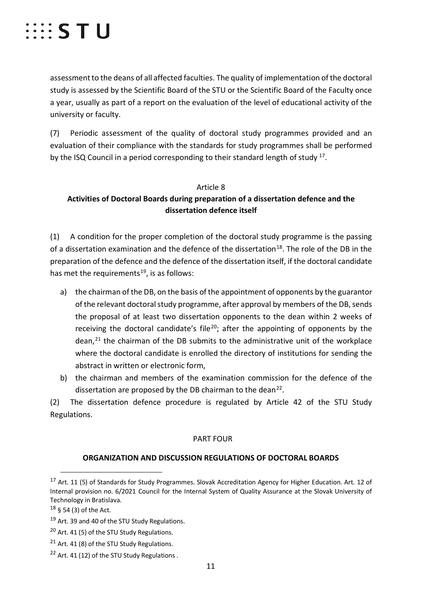assessment to the deans of all affected faculties. The quality of implementation of the doctoral study is assessed by the Scientific Board of the STU or the Scientific Board of the Faculty once a year, usually as part of a report on the evaluation of the level of educational activity of the university or faculty.

(7) Periodic assessment of the quality of doctoral study programmes provided and an evaluation of their compliance with the standards for study programmes shall be performed by the ISQ Council in a period corresponding to their standard length of study <sup>17</sup>.

## Article 8 **Activities of Doctoral Boards during preparation of a dissertation defence and the dissertation defence itself**

(1) A condition for the proper completion of the doctoral study programme is the passing of a dissertation examination and the defence of the dissertation<sup>[18](#page-10-1)</sup>. The role of the DB in the preparation of the defence and the defence of the dissertation itself, if the doctoral candidate has met the requirements<sup>[19](#page-10-2)</sup>, is as follows:

- a) the chairman of the DB, on the basis of the appointment of opponents by the guarantor of the relevant doctoral study programme, after approval by members of the DB, sends the proposal of at least two dissertation opponents to the dean within 2 weeks of receiving the doctoral candidate's file<sup>[20](#page-10-3)</sup>; after the appointing of opponents by the dean, [21](#page-10-4) the chairman of the DB submits to the administrative unit of the workplace where the doctoral candidate is enrolled the directory of institutions for sending the abstract in written or electronic form,
- b) the chairman and members of the examination commission for the defence of the dissertation are proposed by the DB chairman to the dean $^{22}$  $^{22}$  $^{22}$ .

(2) The dissertation defence procedure is regulated by Article 42 of the STU Study Regulations.

## PART FOUR

## **ORGANIZATION AND DISCUSSION REGULATIONS OF DOCTORAL BOARDS**

<span id="page-10-0"></span> <sup>17</sup> Art. 11 (5) of Standards for Study Programmes. Slovak Accreditation Agency for Higher Education. Art. 12 of Internal provision no. 6/2021 Council for the Internal System of Quality Assurance at the Slovak University of Technology in Bratislava.

<span id="page-10-1"></span> $18 \S 54 (3)$  of the Act.

<span id="page-10-2"></span><sup>&</sup>lt;sup>19</sup> Art. 39 and 40 of the STU Study Regulations.

<span id="page-10-3"></span><sup>&</sup>lt;sup>20</sup> Art. 41 (5) of the STU Study Regulations.

<span id="page-10-4"></span> $21$  Art. 41 (8) of the STU Study Regulations.

<span id="page-10-5"></span> $22$  Art. 41 (12) of the STU Study Regulations.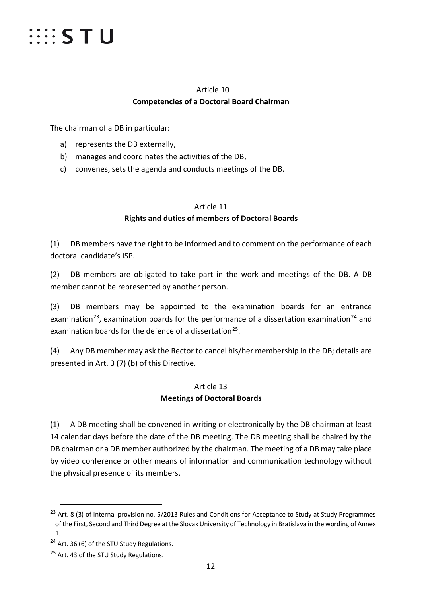

# Article 10 **Competencies of a Doctoral Board Chairman**

The chairman of a DB in particular:

- a) represents the DB externally,
- b) manages and coordinates the activities of the DB,
- c) convenes, sets the agenda and conducts meetings of the DB.

# Article 11 **Rights and duties of members of Doctoral Boards**

(1) DB members have the right to be informed and to comment on the performance of each doctoral candidate's ISP.

(2) DB members are obligated to take part in the work and meetings of the DB. A DB member cannot be represented by another person.

(3) DB members may be appointed to the examination boards for an entrance examination<sup>[23](#page-11-0)</sup>, examination boards for the performance of a dissertation examination<sup>[24](#page-11-1)</sup> and examination boards for the defence of a dissertation<sup>[25](#page-11-2)</sup>.

(4) Any DB member may ask the Rector to cancel his/her membership in the DB; details are presented in Art. 3 (7) (b) of this Directive.

## Article 13 **Meetings of Doctoral Boards**

(1) A DB meeting shall be convened in writing or electronically by the DB chairman at least 14 calendar days before the date of the DB meeting. The DB meeting shall be chaired by the DB chairman or a DB member authorized by the chairman. The meeting of a DB may take place by video conference or other means of information and communication technology without the physical presence of its members.

<span id="page-11-0"></span><sup>&</sup>lt;sup>23</sup> Art. 8 (3) of Internal provision no. 5/2013 Rules and Conditions for Acceptance to Study at Study Programmes of the First, Second and Third Degree at the Slovak University of Technology in Bratislava in the wording of Annex 1.

<span id="page-11-1"></span><sup>&</sup>lt;sup>24</sup> Art. 36 (6) of the STU Study Regulations.

<span id="page-11-2"></span><sup>&</sup>lt;sup>25</sup> Art. 43 of the STU Study Regulations.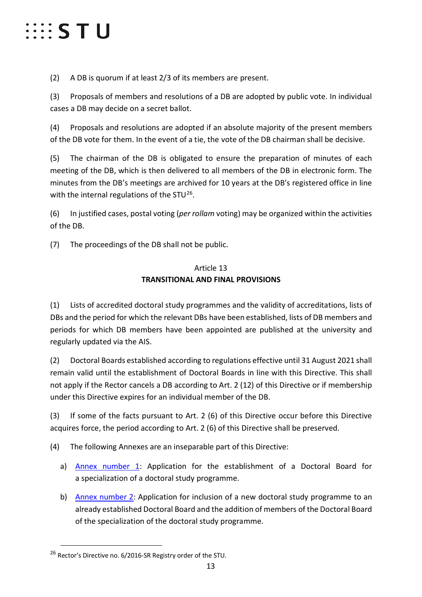# $\cdots$  STU

(2) A DB is quorum if at least 2/3 of its members are present.

(3) Proposals of members and resolutions of a DB are adopted by public vote. In individual cases a DB may decide on a secret ballot.

(4) Proposals and resolutions are adopted if an absolute majority of the present members of the DB vote for them. In the event of a tie, the vote of the DB chairman shall be decisive.

(5) The chairman of the DB is obligated to ensure the preparation of minutes of each meeting of the DB, which is then delivered to all members of the DB in electronic form. The minutes from the DB's meetings are archived for 10 years at the DB's registered office in line with the internal regulations of the STU $^{26}$ .

(6) In justified cases, postal voting (*per rollam* voting) may be organized within the activities of the DB.

(7) The proceedings of the DB shall not be public.

## Article 13 **TRANSITIONAL AND FINAL PROVISIONS**

(1) Lists of accredited doctoral study programmes and the validity of accreditations, lists of DBs and the period for which the relevant DBs have been established, lists of DB members and periods for which DB members have been appointed are published at the university and regularly updated via the AIS.

(2) Doctoral Boards established according to regulations effective until 31 August 2021 shall remain valid until the establishment of Doctoral Boards in line with this Directive. This shall not apply if the Rector cancels a DB according to Art. 2 (12) of this Directive or if membership under this Directive expires for an individual member of the DB.

(3) If some of the facts pursuant to Art. 2 (6) of this Directive occur before this Directive acquires force, the period according to Art. 2 (6) of this Directive shall be preserved.

(4) The following Annexes are an inseparable part of this Directive:

- a) Annex number 1: Application for the establishment of a Doctoral Board for a specialization of a doctoral study programme.
- b) Annex number 2: Application for inclusion of a new doctoral study programme to an already established Doctoral Board and the addition of members of the Doctoral Board of the specialization of the doctoral study programme.

<span id="page-12-0"></span><sup>&</sup>lt;sup>26</sup> Rector's Directive no. 6/2016-SR Registry order of the STU.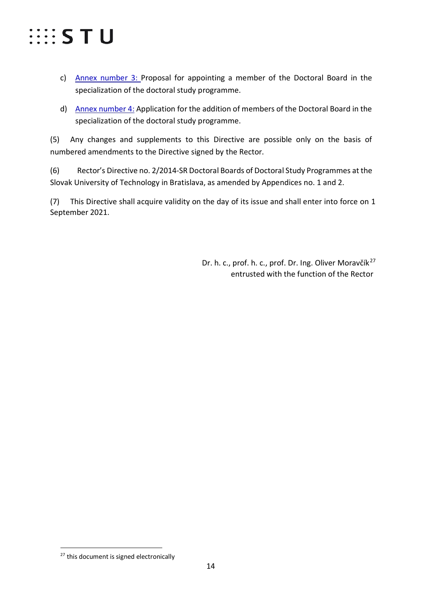

- c) Annex number 3: Proposal for appointing a member of the Doctoral Board in the specialization of the doctoral study programme.
- d) Annex number 4: Application for the addition of members of the Doctoral Board in the specialization of the doctoral study programme.

(5) Any changes and supplements to this Directive are possible only on the basis of numbered amendments to the Directive signed by the Rector.

(6) Rector's Directive no. 2/2014-SR Doctoral Boards of Doctoral Study Programmes at the Slovak University of Technology in Bratislava, as amended by Appendices no. 1 and 2.

(7) This Directive shall acquire validity on the day of its issue and shall enter into force on 1 September 2021.

> Dr. h. c., prof. h. c., prof. Dr. Ing. Oliver Moravčík<sup>[27](#page-13-0)</sup> entrusted with the function of the Rector

<span id="page-13-0"></span><sup>&</sup>lt;sup>27</sup> this document is signed electronically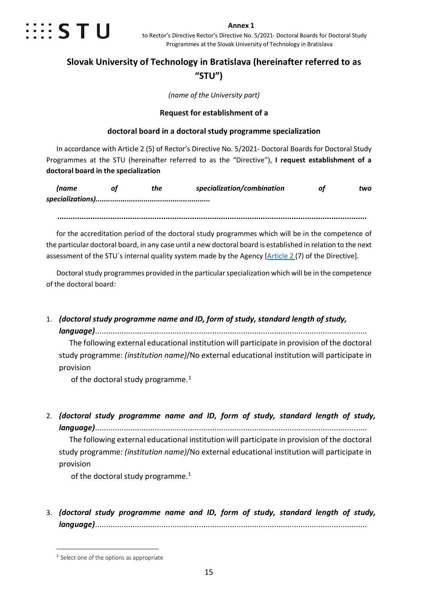

#### **Annex 1**

to Rector's Directive Rector's Directive No. 5/2021- Doctoral Boards for Doctoral Study Programmes at the Slovak University of Technology in Bratislava

# **Slovak University of Technology in Bratislava (hereinafter referred to as "STU")**

*(name of the University part)*

### **Request for establishment of a**

### **doctoral board in a doctoral study programme specialization**

In accordance with Article 2 (5) of Rector's Directive No. 5/2021- Doctoral Boards for Doctoral Study Programmes at the STU (hereinafter referred to as the "Directive"), **I request establishment of a doctoral board in the specialization** 

| Iname | the | specialization/combination | two |
|-------|-----|----------------------------|-----|
|       |     |                            |     |

*............................................................................................................................................*

for the accreditation period of the doctoral study programmes which will be in the competence of the particular doctoral board, in any case until a new doctoral board is established in relation to the next assessment of the STU's internal quality system made by the Agency [Article 2(7) of the Directive].

Doctoral study programmes provided in the particular specialization which will be in the competence of the doctoral board:

1. *(doctoral study programme name and ID, form of study, standard length of study, language)*...........................................................................................................................

The following external educational institution will participate in provision of the doctoral study programme: *(institution name)*/No external educational institution will participate in provision

of the doctoral study programme. $1$ 

2. *(doctoral study programme name and ID, form of study, standard length of study, language)*...........................................................................................................................

The following external educational institution will participate in provision of the doctoral study programme: *(institution name)*/No external educational institution will participate in provision

of the doctoral study programme. $1$ 

3. *(doctoral study programme name and ID, form of study, standard length of study, language)*...........................................................................................................................

<span id="page-14-0"></span><sup>&</sup>lt;sup>1</sup> Select one of the options as appropriate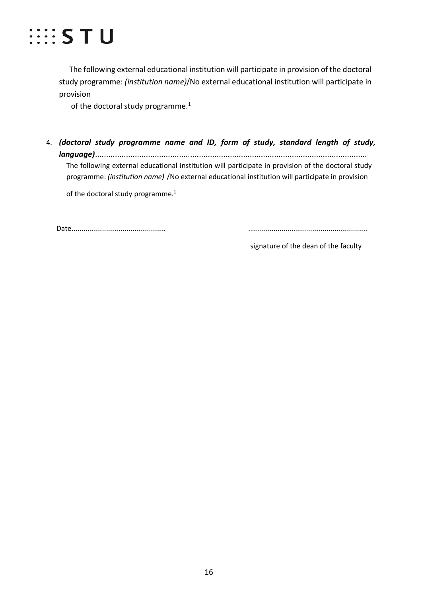

The following external educational institution will participate in provision of the doctoral study programme: *(institution name)*/No external educational institution will participate in provision

of the doctoral study programme.<sup>1</sup>

4. *(doctoral study programme name and ID, form of study, standard length of study, language)*........................................................................................................................... The following external educational institution will participate in provision of the doctoral study programme: *(institution name)* /No external educational institution will participate in provision

of the doctoral study programme.<sup>1</sup>

Date.............................................. ..........................................................

signature of the dean of the faculty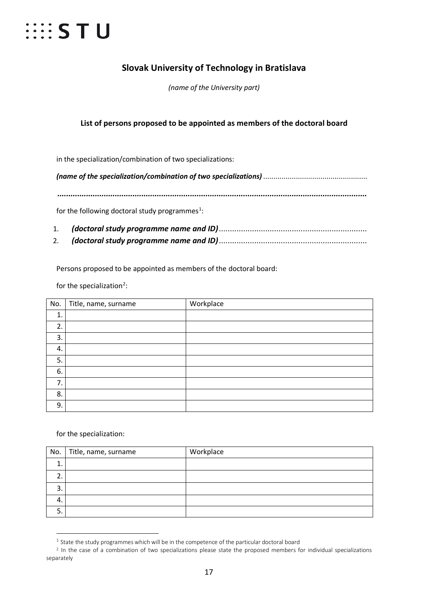# $\cdots$  STU

# **Slovak University of Technology in Bratislava**

*(name of the University part)*

## **List of persons proposed to be appointed as members of the doctoral board**

in the specialization/combination of two specializations:

*(name of the specialization/combination of two specializations)* ...................................................

*............................................................................................................................................*

for the following doctoral study programmes<sup>[1](#page-16-1)</sup>:

- 1. *(doctoral study programme name and ID)*...................................................................
- 2. *(doctoral study programme name and ID)*...................................................................

Persons proposed to be appointed as members of the doctoral board:

<span id="page-16-0"></span>for the specialization<sup>[2](#page-16-2)</sup>:

| No. | Title, name, surname | Workplace |
|-----|----------------------|-----------|
| 1.  |                      |           |
| 2.  |                      |           |
| 3.  |                      |           |
| 4.  |                      |           |
| 5.  |                      |           |
| 6.  |                      |           |
| 7.  |                      |           |
| 8.  |                      |           |
| 9.  |                      |           |

for the specializatio[n:](#page-16-0)

 $\overline{a}$ 

| No.      | Title, name, surname | Workplace |
|----------|----------------------|-----------|
|          |                      |           |
| <u>.</u> |                      |           |
| っ        |                      |           |
|          |                      |           |
|          |                      |           |

 $1$  State the study programmes which will be in the competence of the particular doctoral board

<span id="page-16-2"></span><span id="page-16-1"></span><sup>&</sup>lt;sup>2</sup> In the case of a combination of two specializations please state the proposed members for individual specializations separately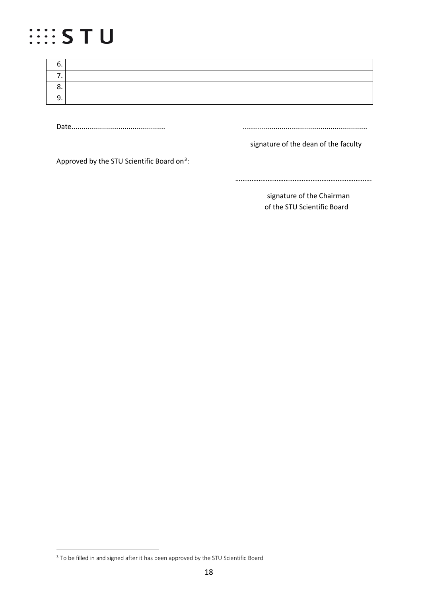# **SISTU**

| .u |  |
|----|--|
|    |  |
| J. |  |
| ້  |  |

Date.............................................. .............................................................

signature of the dean of the faculty

Approved by the STU Scientific Board on<sup>[3](#page-17-0)</sup>:

………………………………………………………………….

signature of the Chairman of the STU Scientific Board

 $\overline{a}$ 

<span id="page-17-0"></span><sup>&</sup>lt;sup>3</sup> To be filled in and signed after it has been approved by the STU Scientific Board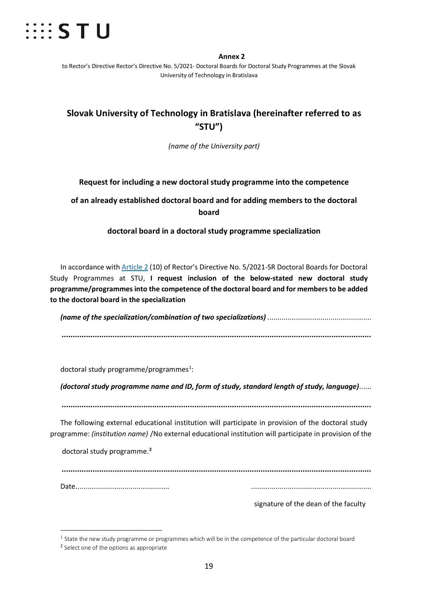

#### **Annex 2**

to Rector's Directive Rector's Directive No. 5/2021- Doctoral Boards for Doctoral Study Programmes at the Slovak University of Technology in Bratislava

# **Slovak University of Technology in Bratislava (hereinafter referred to as "STU")**

*(name of the University part)*

### **Request for including a new doctoral study programme into the competence**

## **of an already established doctoral board and for adding members to the doctoral board**

### **doctoral board in a doctoral study programme specialization**

In accordance with Article 2 (10) of Rector's Directive No. 5/2021-SR Doctoral Boards for Doctoral Study Programmes at STU, **I request inclusion of the below-stated new doctoral study programme/programmes into the competence of the doctoral board and for members to be added to the doctoral board in the specialization** 

*(name of the specialization/combination of two specializations)* ................................................... *............................................................................................................................................*

doctoral study programme/programmes $^{1}$  $^{1}$  $^{1}$ :

*(doctoral study programme name and ID, form of study, standard length of study, language)*......

*............................................................................................................................................*

The following external educational institution will participate in provision of the doctoral study programme: *(institution name)* /No external educational institution will participate in provision of the

doctoral study programme.**[2](#page-18-1)**

*............................................................................................................................................*

Date.............................................. ...........................................................

signature of the dean of the faculty

 $\overline{a}$ 

<span id="page-18-0"></span> $1$  State the new study programme or programmes which will be in the competence of the particular doctoral board

<span id="page-18-1"></span><sup>&</sup>lt;sup>2</sup> Select one of the options as appropriate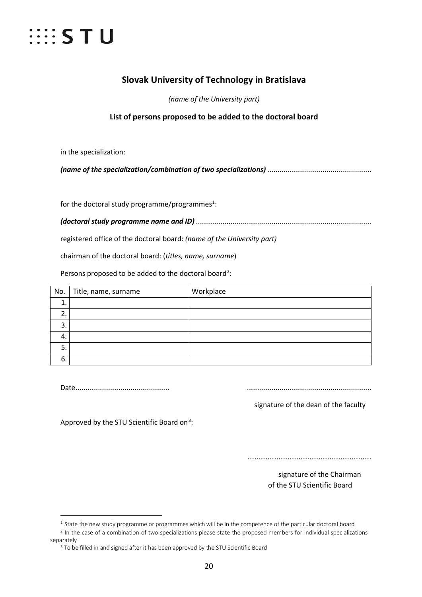

# **Slovak University of Technology in Bratislava**

*(name of the University part)*

**List of persons proposed to be added to the doctoral board**

in the specialization:

*(name of the specialization/combination of two specializations)* ...................................................

for the doctoral study programme/programmes<sup>[1](#page-19-0)</sup>:

*(doctoral study programme name and ID)* ......................................................................................

registered office of the doctoral board: *(name of the University part)*

chairman of the doctoral board: (*titles, name, surname*)

Persons proposed to be added to the doctoral board<sup>[2](#page-19-1)</sup>:

| No.      | Title, name, surname | Workplace |
|----------|----------------------|-----------|
|          |                      |           |
| <u>.</u> |                      |           |
| 3        |                      |           |
| 4.       |                      |           |
| 5.       |                      |           |
| 6.       |                      |           |

Date.............................................. .............................................................

signature of the dean of the faculty

Approved by the STU Scientific Board on<sup>[3](#page-19-2)</sup>:

........................................................

 signature of the Chairman of the STU Scientific Board

 $\overline{a}$  $1$  State the new study programme or programmes which will be in the competence of the particular doctoral board

<span id="page-19-2"></span><span id="page-19-1"></span><span id="page-19-0"></span><sup>&</sup>lt;sup>2</sup> In the case of a combination of two specializations please state the proposed members for individual specializations separately

<sup>&</sup>lt;sup>3</sup> To be filled in and signed after it has been approved by the STU Scientific Board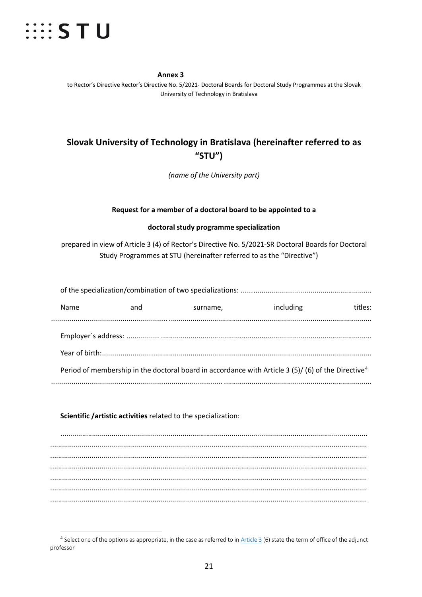

**Annex 3** to Rector's Directive Rector's Directive No. 5/2021- Doctoral Boards for Doctoral Study Programmes at the Slovak University of Technology in Bratislava

# **Slovak University of Technology in Bratislava (hereinafter referred to as "STU")**

*(name of the University part)*

#### **Request for a member of a doctoral board to be appointed to a**

#### **doctoral study programme specialization**

prepared in view of Article 3 (4) of Rector's Directive No. 5/2021-SR Doctoral Boards for Doctoral Study Programmes at STU (hereinafter referred to as the "Directive")

| Name | and | surname, | including                                                                                                      | titles: |
|------|-----|----------|----------------------------------------------------------------------------------------------------------------|---------|
|      |     |          |                                                                                                                |         |
|      |     |          | Period of membership in the doctoral board in accordance with Article 3 (5)/ (6) of the Directive <sup>4</sup> |         |
|      |     |          |                                                                                                                |         |

#### **Scientific /artistic activities** related to the specialization:

............................................................................................................................................................ ................................................................................................................................................................. ................................................................................................................................................................. ................................................................................................................................................................. ................................................................................................................................................................. ................................................................................................................................................................. .................................................................................................................................................................

<span id="page-20-0"></span> $4$  Select one of the options as appropriate, in the case as referred to in Article 3 (6) state the term of office of the adjunct professor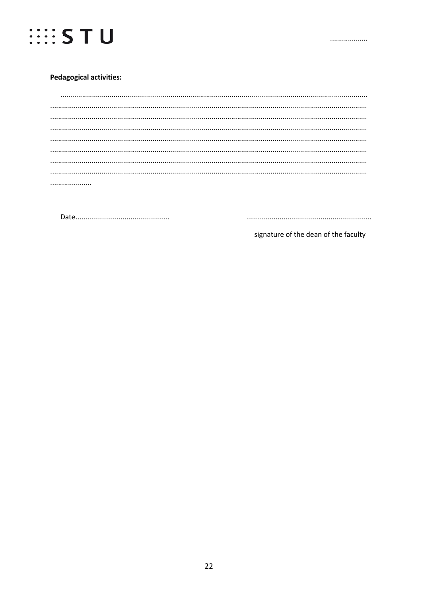

#### **Pedagogical activities:**

signature of the dean of the faculty